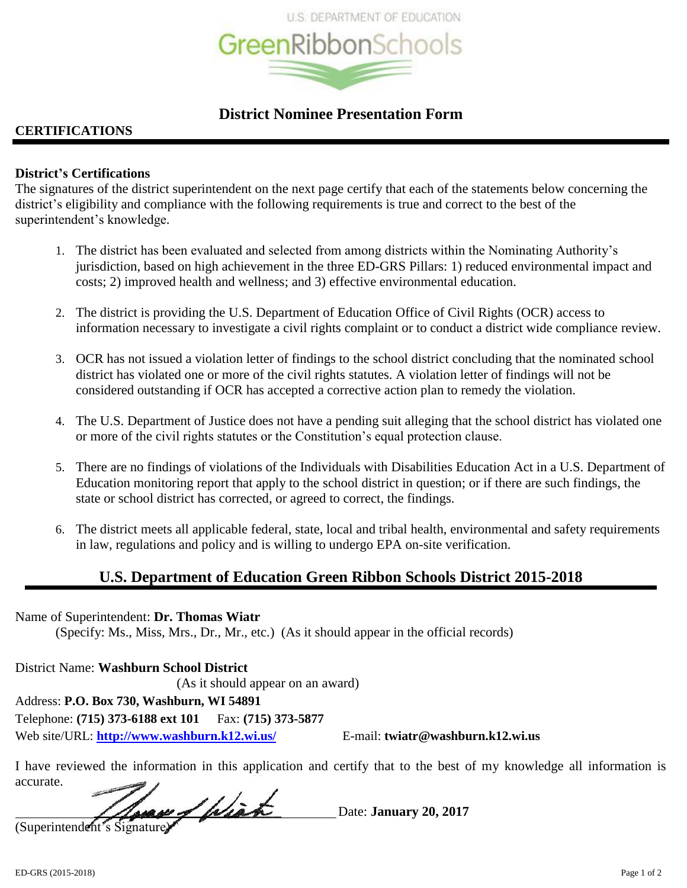

# **District Nominee Presentation Form**

## **CERTIFICATIONS**

## **District's Certifications**

The signatures of the district superintendent on the next page certify that each of the statements below concerning the district's eligibility and compliance with the following requirements is true and correct to the best of the superintendent's knowledge.

- 1. The district has been evaluated and selected from among districts within the Nominating Authority's jurisdiction, based on high achievement in the three ED-GRS Pillars: 1) reduced environmental impact and costs; 2) improved health and wellness; and 3) effective environmental education.
- 2. The district is providing the U.S. Department of Education Office of Civil Rights (OCR) access to information necessary to investigate a civil rights complaint or to conduct a district wide compliance review.
- 3. OCR has not issued a violation letter of findings to the school district concluding that the nominated school district has violated one or more of the civil rights statutes. A violation letter of findings will not be considered outstanding if OCR has accepted a corrective action plan to remedy the violation.
- 4. The U.S. Department of Justice does not have a pending suit alleging that the school district has violated one or more of the civil rights statutes or the Constitution's equal protection clause.
- 5. There are no findings of violations of the Individuals with Disabilities Education Act in a U.S. Department of Education monitoring report that apply to the school district in question; or if there are such findings, the state or school district has corrected, or agreed to correct, the findings.
- 6. The district meets all applicable federal, state, local and tribal health, environmental and safety requirements in law, regulations and policy and is willing to undergo EPA on-site verification.

# **U.S. Department of Education Green Ribbon Schools District 2015-2018**

Name of Superintendent: **Dr. Thomas Wiatr** (Specify: Ms., Miss, Mrs., Dr., Mr., etc.) (As it should appear in the official records)

District Name: **Washburn School District** (As it should appear on an award) Address: **P.O. Box 730, Washburn, WI 54891** Telephone: **(715) 373-6188 ext 101** Fax: **(715) 373-5877** Web site/URL: **<http://www.washburn.k12.wi.us/>** E-mail: **twiatr@washburn.k12.wi.us** 

I have reviewed the information in this application and certify that to the best of my knowledge all information is accurate.

 Date: **January 20, 2017** (Superintendent's Signature)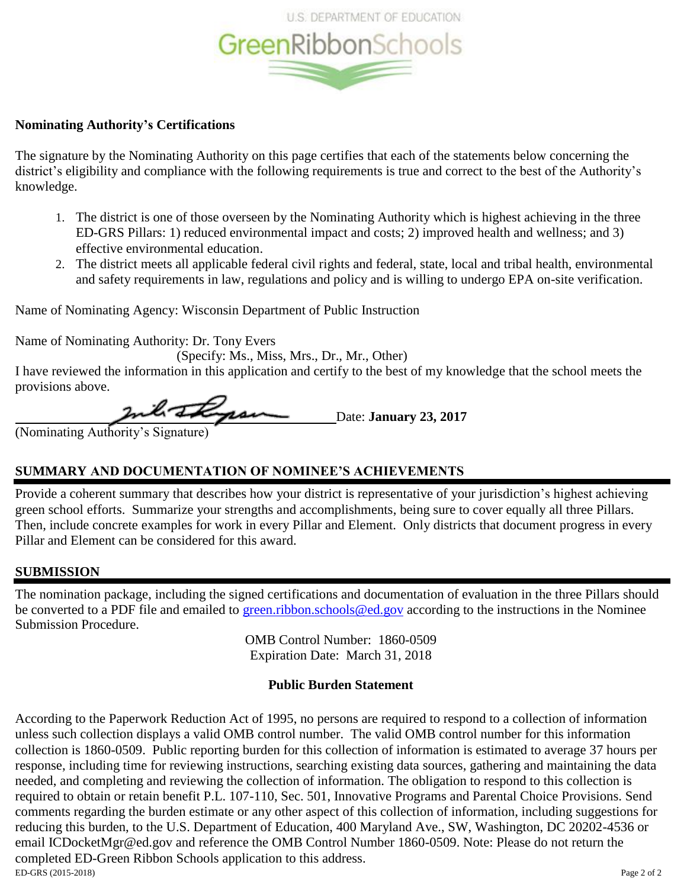

## **Nominating Authority's Certifications**

The signature by the Nominating Authority on this page certifies that each of the statements below concerning the district's eligibility and compliance with the following requirements is true and correct to the best of the Authority's knowledge.

- 1. The district is one of those overseen by the Nominating Authority which is highest achieving in the three ED-GRS Pillars: 1) reduced environmental impact and costs; 2) improved health and wellness; and 3) effective environmental education.
- 2. The district meets all applicable federal civil rights and federal, state, local and tribal health, environmental and safety requirements in law, regulations and policy and is willing to undergo EPA on-site verification.

Name of Nominating Agency: Wisconsin Department of Public Instruction

Name of Nominating Authority: Dr. Tony Evers

(Specify: Ms., Miss, Mrs., Dr., Mr., Other)

I have reviewed the information in this application and certify to the best of my knowledge that the school meets the provisions above.

 Date: **January 23, 2017** (Nominating Authority's Signature)

## **SUMMARY AND DOCUMENTATION OF NOMINEE'S ACHIEVEMENTS**

Provide a coherent summary that describes how your district is representative of your jurisdiction's highest achieving green school efforts. Summarize your strengths and accomplishments, being sure to cover equally all three Pillars. Then, include concrete examples for work in every Pillar and Element. Only districts that document progress in every Pillar and Element can be considered for this award.

## **SUBMISSION**

The nomination package, including the signed certifications and documentation of evaluation in the three Pillars should be converted to a PDF file and emailed to [green.ribbon.schools@ed.gov](mailto:green.ribbon.schools@ed.gov) according to the instructions in the Nominee Submission Procedure.

> OMB Control Number: 1860-0509 Expiration Date: March 31, 2018

## **Public Burden Statement**

ED-GRS (2015-2018) Page 2 of 2 According to the Paperwork Reduction Act of 1995, no persons are required to respond to a collection of information unless such collection displays a valid OMB control number. The valid OMB control number for this information collection is 1860-0509. Public reporting burden for this collection of information is estimated to average 37 hours per response, including time for reviewing instructions, searching existing data sources, gathering and maintaining the data needed, and completing and reviewing the collection of information. The obligation to respond to this collection is required to obtain or retain benefit P.L. 107-110, Sec. 501, Innovative Programs and Parental Choice Provisions. Send comments regarding the burden estimate or any other aspect of this collection of information, including suggestions for reducing this burden, to the U.S. Department of Education, 400 Maryland Ave., SW, Washington, DC 20202-4536 or email ICDocketMgr@ed.gov and reference the OMB Control Number 1860-0509. Note: Please do not return the completed ED-Green Ribbon Schools application to this address.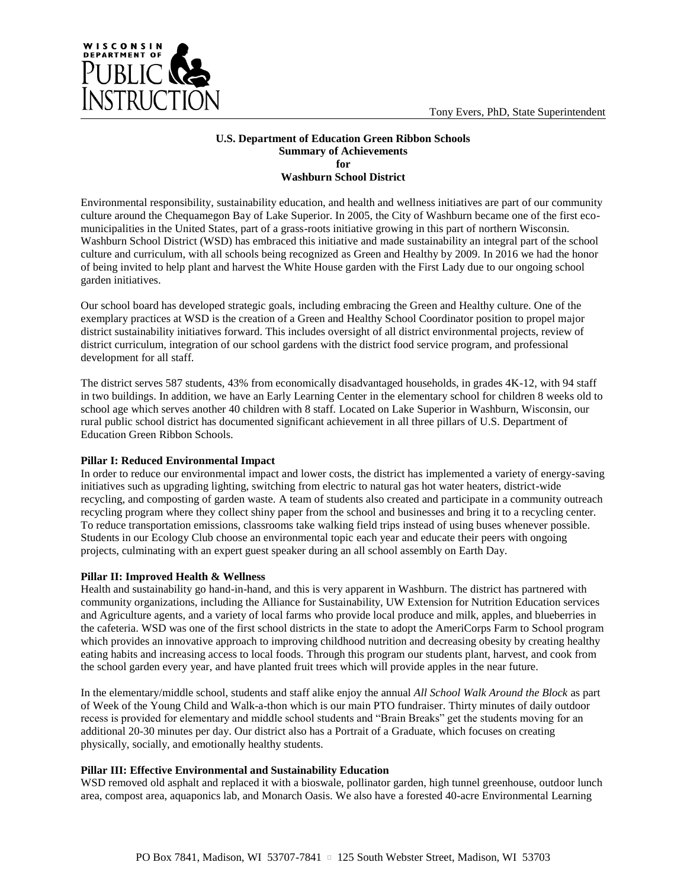

#### **U.S. Department of Education Green Ribbon Schools Summary of Achievements for Washburn School District**

Environmental responsibility, sustainability education, and health and wellness initiatives are part of our community culture around the Chequamegon Bay of Lake Superior. In 2005, the City of Washburn became one of the first ecomunicipalities in the United States, part of a grass-roots initiative growing in this part of northern Wisconsin. Washburn School District (WSD) has embraced this initiative and made sustainability an integral part of the school culture and curriculum, with all schools being recognized as Green and Healthy by 2009. In 2016 we had the honor of being invited to help plant and harvest the White House garden with the First Lady due to our ongoing school garden initiatives.

Our school board has developed strategic goals, including embracing the Green and Healthy culture. One of the exemplary practices at WSD is the creation of a Green and Healthy School Coordinator position to propel major district sustainability initiatives forward. This includes oversight of all district environmental projects, review of district curriculum, integration of our school gardens with the district food service program, and professional development for all staff.

The district serves 587 students, 43% from economically disadvantaged households, in grades 4K-12, with 94 staff in two buildings. In addition, we have an Early Learning Center in the elementary school for children 8 weeks old to school age which serves another 40 children with 8 staff. Located on Lake Superior in Washburn, Wisconsin, our rural public school district has documented significant achievement in all three pillars of U.S. Department of Education Green Ribbon Schools.

## **Pillar I: Reduced Environmental Impact**

In order to reduce our environmental impact and lower costs, the district has implemented a variety of energy-saving initiatives such as upgrading lighting, switching from electric to natural gas hot water heaters, district-wide recycling, and composting of garden waste. A team of students also created and participate in a community outreach recycling program where they collect shiny paper from the school and businesses and bring it to a recycling center. To reduce transportation emissions, classrooms take walking field trips instead of using buses whenever possible. Students in our Ecology Club choose an environmental topic each year and educate their peers with ongoing projects, culminating with an expert guest speaker during an all school assembly on Earth Day.

## **Pillar II: Improved Health & Wellness**

Health and sustainability go hand-in-hand, and this is very apparent in Washburn. The district has partnered with community organizations, including the Alliance for Sustainability, UW Extension for Nutrition Education services and Agriculture agents, and a variety of local farms who provide local produce and milk, apples, and blueberries in the cafeteria. WSD was one of the first school districts in the state to adopt the AmeriCorps Farm to School program which provides an innovative approach to improving childhood nutrition and decreasing obesity by creating healthy eating habits and increasing access to local foods. Through this program our students plant, harvest, and cook from the school garden every year, and have planted fruit trees which will provide apples in the near future.

In the elementary/middle school, students and staff alike enjoy the annual *All School Walk Around the Block* as part of Week of the Young Child and Walk-a-thon which is our main PTO fundraiser. Thirty minutes of daily outdoor recess is provided for elementary and middle school students and "Brain Breaks" get the students moving for an additional 20-30 minutes per day. Our district also has a Portrait of a Graduate, which focuses on creating physically, socially, and emotionally healthy students.

## **Pillar III: Effective Environmental and Sustainability Education**

WSD removed old asphalt and replaced it with a bioswale, pollinator garden, high tunnel greenhouse, outdoor lunch area, compost area, aquaponics lab, and Monarch Oasis. We also have a forested 40-acre Environmental Learning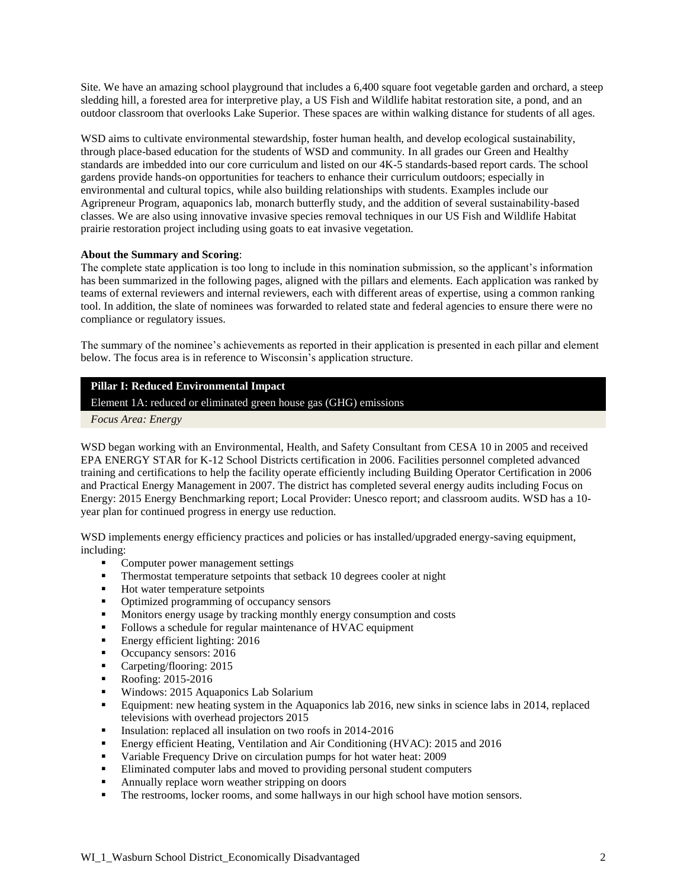Site. We have an amazing school playground that includes a 6,400 square foot vegetable garden and orchard, a steep sledding hill, a forested area for interpretive play, a US Fish and Wildlife habitat restoration site, a pond, and an outdoor classroom that overlooks Lake Superior. These spaces are within walking distance for students of all ages.

WSD aims to cultivate environmental stewardship, foster human health, and develop ecological sustainability, through place-based education for the students of WSD and community. In all grades our Green and Healthy standards are imbedded into our core curriculum and listed on our 4K-5 standards-based report cards. The school gardens provide hands-on opportunities for teachers to enhance their curriculum outdoors; especially in environmental and cultural topics, while also building relationships with students. Examples include our Agripreneur Program, aquaponics lab, monarch butterfly study, and the addition of several sustainability-based classes. We are also using innovative invasive species removal techniques in our US Fish and Wildlife Habitat prairie restoration project including using goats to eat invasive vegetation.

## **About the Summary and Scoring**:

The complete state application is too long to include in this nomination submission, so the applicant's information has been summarized in the following pages, aligned with the pillars and elements. Each application was ranked by teams of external reviewers and internal reviewers, each with different areas of expertise, using a common ranking tool. In addition, the slate of nominees was forwarded to related state and federal agencies to ensure there were no compliance or regulatory issues.

The summary of the nominee's achievements as reported in their application is presented in each pillar and element below. The focus area is in reference to Wisconsin's application structure.

## **Pillar I: Reduced Environmental Impact**

Element 1A: reduced or eliminated green house gas (GHG) emissions

*Focus Area: Energy*

WSD began working with an Environmental, Health, and Safety Consultant from CESA 10 in 2005 and received EPA ENERGY STAR for K-12 School Districts certification in 2006. Facilities personnel completed advanced training and certifications to help the facility operate efficiently including Building Operator Certification in 2006 and Practical Energy Management in 2007. The district has completed several energy audits including Focus on Energy: 2015 Energy Benchmarking report; Local Provider: Unesco report; and classroom audits. WSD has a 10 year plan for continued progress in energy use reduction.

WSD implements energy efficiency practices and policies or has installed/upgraded energy-saving equipment, including:

- Computer power management settings
- Thermostat temperature setpoints that setback 10 degrees cooler at night
- Hot water temperature setpoints
- Optimized programming of occupancy sensors
- **Monitors energy usage by tracking monthly energy consumption and costs**
- Follows a schedule for regular maintenance of HVAC equipment
- **Energy efficient lighting: 2016**
- Occupancy sensors: 2016
- Carpeting/flooring: 2015
- **Roofing: 2015-2016**
- **Windows: 2015 Aquaponics Lab Solarium**
- Equipment: new heating system in the Aquaponics lab 2016, new sinks in science labs in 2014, replaced televisions with overhead projectors 2015
- Insulation: replaced all insulation on two roofs in 2014-2016
- Energy efficient Heating, Ventilation and Air Conditioning (HVAC): 2015 and 2016
- Variable Frequency Drive on circulation pumps for hot water heat: 2009
- Eliminated computer labs and moved to providing personal student computers
- **Annually replace worn weather stripping on doors**
- The restrooms, locker rooms, and some hallways in our high school have motion sensors.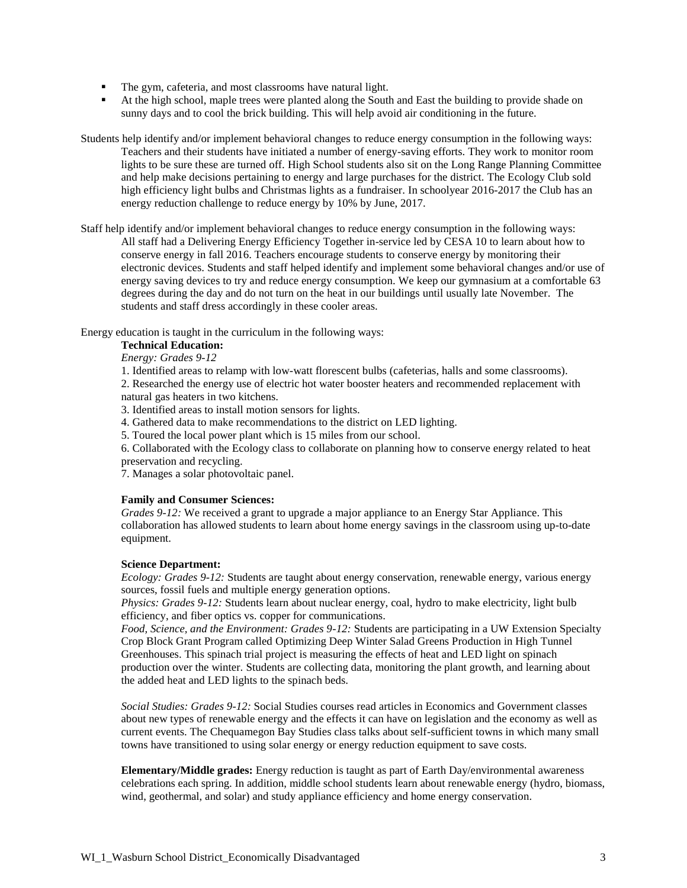- The gym, cafeteria, and most classrooms have natural light.
- At the high school, maple trees were planted along the South and East the building to provide shade on sunny days and to cool the brick building. This will help avoid air conditioning in the future.

Students help identify and/or implement behavioral changes to reduce energy consumption in the following ways: Teachers and their students have initiated a number of energy-saving efforts. They work to monitor room lights to be sure these are turned off. High School students also sit on the Long Range Planning Committee and help make decisions pertaining to energy and large purchases for the district. The Ecology Club sold high efficiency light bulbs and Christmas lights as a fundraiser. In schoolyear 2016-2017 the Club has an energy reduction challenge to reduce energy by 10% by June, 2017.

Staff help identify and/or implement behavioral changes to reduce energy consumption in the following ways: All staff had a Delivering Energy Efficiency Together in-service led by CESA 10 to learn about how to conserve energy in fall 2016. Teachers encourage students to conserve energy by monitoring their electronic devices. Students and staff helped identify and implement some behavioral changes and/or use of energy saving devices to try and reduce energy consumption. We keep our gymnasium at a comfortable 63 degrees during the day and do not turn on the heat in our buildings until usually late November. The students and staff dress accordingly in these cooler areas.

Energy education is taught in the curriculum in the following ways:

**Technical Education:**

*Energy: Grades 9-12*

1. Identified areas to relamp with low-watt florescent bulbs (cafeterias, halls and some classrooms).

2. Researched the energy use of electric hot water booster heaters and recommended replacement with natural gas heaters in two kitchens.

3. Identified areas to install motion sensors for lights.

4. Gathered data to make recommendations to the district on LED lighting.

5. Toured the local power plant which is 15 miles from our school.

6. Collaborated with the Ecology class to collaborate on planning how to conserve energy related to heat preservation and recycling.

7. Manages a solar photovoltaic panel.

#### **Family and Consumer Sciences:**

*Grades 9-12:* We received a grant to upgrade a major appliance to an Energy Star Appliance. This collaboration has allowed students to learn about home energy savings in the classroom using up-to-date equipment.

#### **Science Department:**

*Ecology: Grades 9-12:* Students are taught about energy conservation, renewable energy, various energy sources, fossil fuels and multiple energy generation options.

*Physics: Grades 9-12: Students learn about nuclear energy, coal, hydro to make electricity, light bulb* efficiency, and fiber optics vs. copper for communications.

*Food, Science, and the Environment: Grades 9-12:* Students are participating in a UW Extension Specialty Crop Block Grant Program called Optimizing Deep Winter Salad Greens Production in High Tunnel Greenhouses. This spinach trial project is measuring the effects of heat and LED light on spinach production over the winter. Students are collecting data, monitoring the plant growth, and learning about the added heat and LED lights to the spinach beds.

*Social Studies: Grades 9-12:* Social Studies courses read articles in Economics and Government classes about new types of renewable energy and the effects it can have on legislation and the economy as well as current events. The Chequamegon Bay Studies class talks about self-sufficient towns in which many small towns have transitioned to using solar energy or energy reduction equipment to save costs.

**Elementary/Middle grades:** Energy reduction is taught as part of Earth Day/environmental awareness celebrations each spring. In addition, middle school students learn about renewable energy (hydro, biomass, wind, geothermal, and solar) and study appliance efficiency and home energy conservation.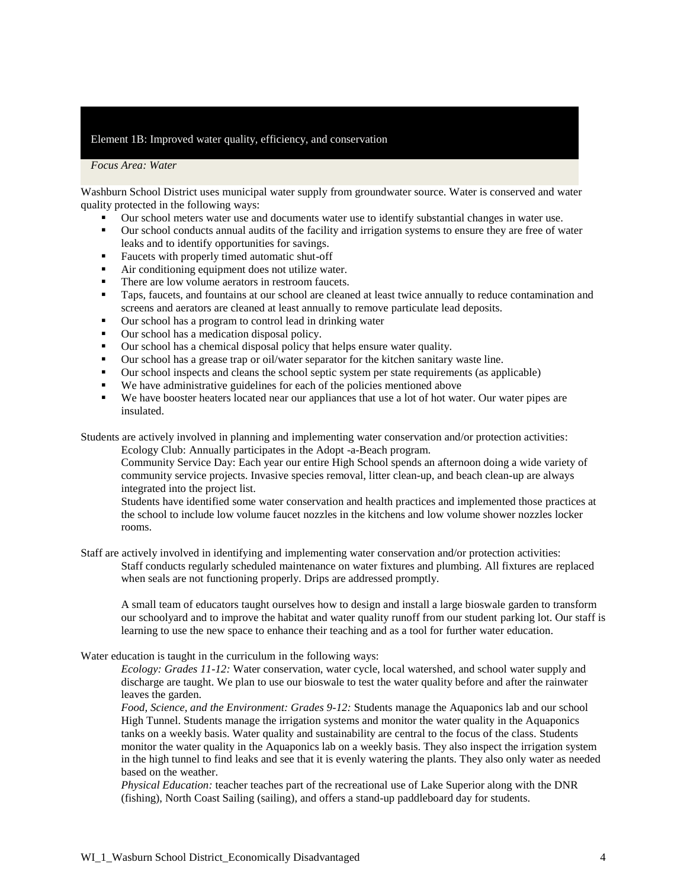### Element 1B: Improved water quality, efficiency, and conservation

#### *Focus Area: Water*

Washburn School District uses municipal water supply from groundwater source. Water is conserved and water quality protected in the following ways:

- Our school meters water use and documents water use to identify substantial changes in water use.
- Our school conducts annual audits of the facility and irrigation systems to ensure they are free of water leaks and to identify opportunities for savings.
- Faucets with properly timed automatic shut-off
- Air conditioning equipment does not utilize water.
- There are low volume aerators in restroom faucets.
- Taps, faucets, and fountains at our school are cleaned at least twice annually to reduce contamination and screens and aerators are cleaned at least annually to remove particulate lead deposits.
- Our school has a program to control lead in drinking water
- Our school has a medication disposal policy.
- Our school has a chemical disposal policy that helps ensure water quality.
- Our school has a grease trap or oil/water separator for the kitchen sanitary waste line.
- Our school inspects and cleans the school septic system per state requirements (as applicable)
- We have administrative guidelines for each of the policies mentioned above
- We have booster heaters located near our appliances that use a lot of hot water. Our water pipes are insulated.

Students are actively involved in planning and implementing water conservation and/or protection activities:

Ecology Club: Annually participates in the Adopt -a-Beach program.

Community Service Day: Each year our entire High School spends an afternoon doing a wide variety of community service projects. Invasive species removal, litter clean-up, and beach clean-up are always integrated into the project list.

Students have identified some water conservation and health practices and implemented those practices at the school to include low volume faucet nozzles in the kitchens and low volume shower nozzles locker rooms.

Staff are actively involved in identifying and implementing water conservation and/or protection activities: Staff conducts regularly scheduled maintenance on water fixtures and plumbing. All fixtures are replaced when seals are not functioning properly. Drips are addressed promptly.

A small team of educators taught ourselves how to design and install a large bioswale garden to transform our schoolyard and to improve the habitat and water quality runoff from our student parking lot. Our staff is learning to use the new space to enhance their teaching and as a tool for further water education.

#### Water education is taught in the curriculum in the following ways:

*Ecology: Grades 11-12:* Water conservation, water cycle, local watershed, and school water supply and discharge are taught. We plan to use our bioswale to test the water quality before and after the rainwater leaves the garden.

*Food, Science, and the Environment: Grades 9-12:* Students manage the Aquaponics lab and our school High Tunnel. Students manage the irrigation systems and monitor the water quality in the Aquaponics tanks on a weekly basis. Water quality and sustainability are central to the focus of the class. Students monitor the water quality in the Aquaponics lab on a weekly basis. They also inspect the irrigation system in the high tunnel to find leaks and see that it is evenly watering the plants. They also only water as needed based on the weather.

*Physical Education:* teacher teaches part of the recreational use of Lake Superior along with the DNR (fishing), North Coast Sailing (sailing), and offers a stand-up paddleboard day for students.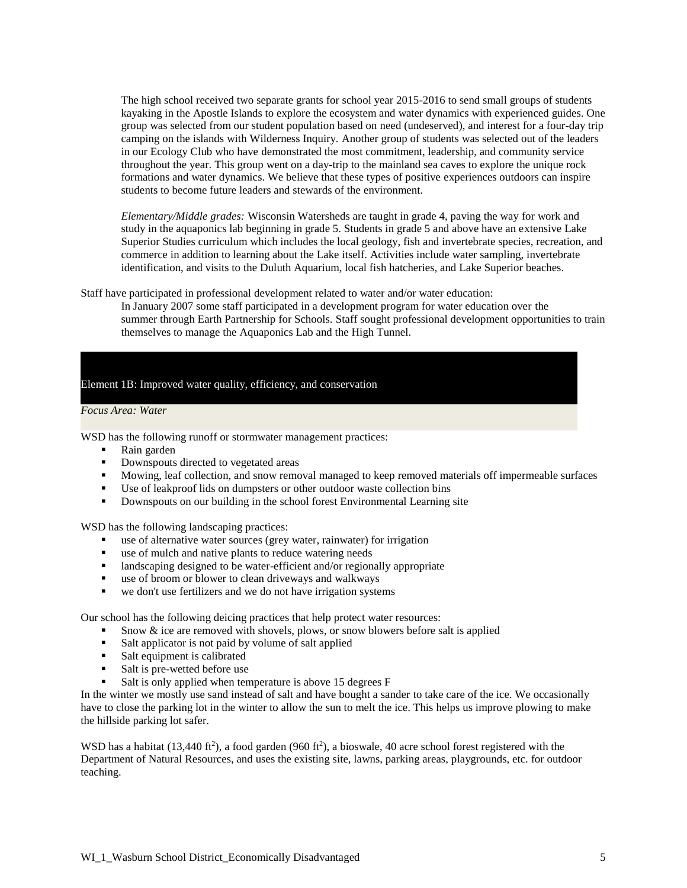The high school received two separate grants for school year 2015-2016 to send small groups of students kayaking in the Apostle Islands to explore the ecosystem and water dynamics with experienced guides. One group was selected from our student population based on need (undeserved), and interest for a four-day trip camping on the islands with Wilderness Inquiry. Another group of students was selected out of the leaders in our Ecology Club who have demonstrated the most commitment, leadership, and community service throughout the year. This group went on a day-trip to the mainland sea caves to explore the unique rock formations and water dynamics. We believe that these types of positive experiences outdoors can inspire students to become future leaders and stewards of the environment.

*Elementary/Middle grades:* Wisconsin Watersheds are taught in grade 4, paving the way for work and study in the aquaponics lab beginning in grade 5. Students in grade 5 and above have an extensive Lake Superior Studies curriculum which includes the local geology, fish and invertebrate species, recreation, and commerce in addition to learning about the Lake itself. Activities include water sampling, invertebrate identification, and visits to the Duluth Aquarium, local fish hatcheries, and Lake Superior beaches.

Staff have participated in professional development related to water and/or water education:

In January 2007 some staff participated in a development program for water education over the summer through Earth Partnership for Schools. Staff sought professional development opportunities to train themselves to manage the Aquaponics Lab and the High Tunnel.

Element 1B: Improved water quality, efficiency, and conservation

#### *Focus Area: Water*

WSD has the following runoff or stormwater management practices:

- Rain garden
- **Downspouts directed to vegetated areas**
- **Mowing, leaf collection, and snow removal managed to keep removed materials off impermeable surfaces**
- Use of leakproof lids on dumpsters or other outdoor waste collection bins
- Downspouts on our building in the school forest Environmental Learning site

WSD has the following landscaping practices:

- use of alternative water sources (grey water, rainwater) for irrigation
- use of mulch and native plants to reduce watering needs
- landscaping designed to be water-efficient and/or regionally appropriate
- use of broom or blower to clean driveways and walkways
- we don't use fertilizers and we do not have irrigation systems

Our school has the following deicing practices that help protect water resources:

- Snow & ice are removed with shovels, plows, or snow blowers before salt is applied
- Salt applicator is not paid by volume of salt applied
- Salt equipment is calibrated
- Salt is pre-wetted before use
- Salt is only applied when temperature is above 15 degrees F

In the winter we mostly use sand instead of salt and have bought a sander to take care of the ice. We occasionally have to close the parking lot in the winter to allow the sun to melt the ice. This helps us improve plowing to make the hillside parking lot safer.

WSD has a habitat  $(13,440 \text{ ft}^2)$ , a food garden  $(960 \text{ ft}^2)$ , a bioswale, 40 acre school forest registered with the Department of Natural Resources, and uses the existing site, lawns, parking areas, playgrounds, etc. for outdoor teaching.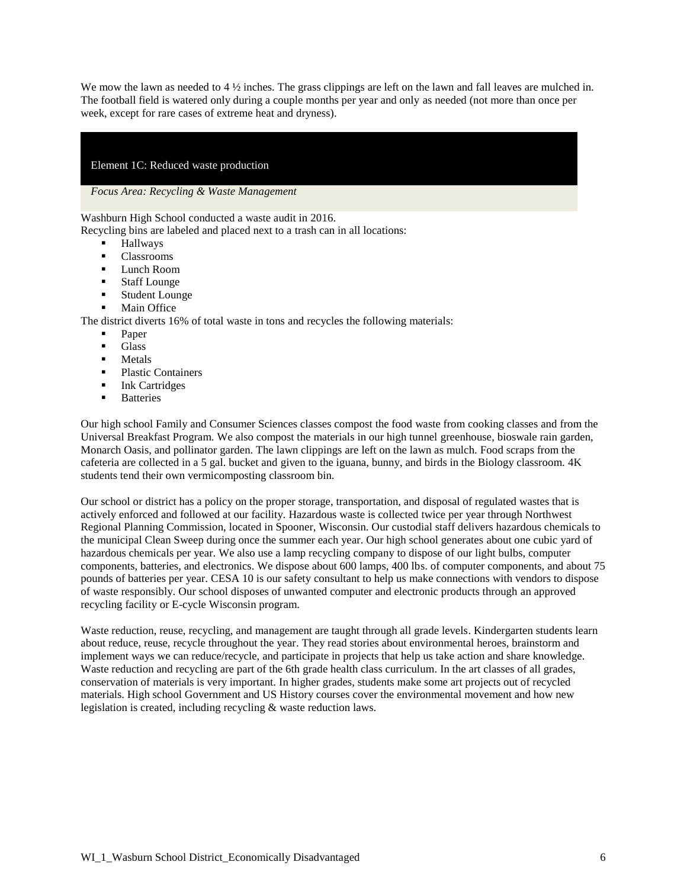We mow the lawn as needed to 4  $\frac{1}{2}$  inches. The grass clippings are left on the lawn and fall leaves are mulched in. The football field is watered only during a couple months per year and only as needed (not more than once per week, except for rare cases of extreme heat and dryness).

#### Element 1C: Reduced waste production

*Focus Area: Recycling & Waste Management* 

Washburn High School conducted a waste audit in 2016.

Recycling bins are labeled and placed next to a trash can in all locations:

- Hallways
- Classrooms
- **Lunch Room**
- Staff Lounge
- **Student Lounge**
- Main Office

The district diverts 16% of total waste in tons and recycles the following materials:

- Paper
- Glass
- Metals
- Plastic Containers
- Ink Cartridges
- **Batteries**

Our high school Family and Consumer Sciences classes compost the food waste from cooking classes and from the Universal Breakfast Program. We also compost the materials in our high tunnel greenhouse, bioswale rain garden, Monarch Oasis, and pollinator garden. The lawn clippings are left on the lawn as mulch. Food scraps from the cafeteria are collected in a 5 gal. bucket and given to the iguana, bunny, and birds in the Biology classroom. 4K students tend their own vermicomposting classroom bin.

Our school or district has a policy on the proper storage, transportation, and disposal of regulated wastes that is actively enforced and followed at our facility. Hazardous waste is collected twice per year through Northwest Regional Planning Commission, located in Spooner, Wisconsin. Our custodial staff delivers hazardous chemicals to the municipal Clean Sweep during once the summer each year. Our high school generates about one cubic yard of hazardous chemicals per year. We also use a lamp recycling company to dispose of our light bulbs, computer components, batteries, and electronics. We dispose about 600 lamps, 400 lbs. of computer components, and about 75 pounds of batteries per year. CESA 10 is our safety consultant to help us make connections with vendors to dispose of waste responsibly. Our school disposes of unwanted computer and electronic products through an approved recycling facility or E-cycle Wisconsin program.

Waste reduction, reuse, recycling, and management are taught through all grade levels. Kindergarten students learn about reduce, reuse, recycle throughout the year. They read stories about environmental heroes, brainstorm and implement ways we can reduce/recycle, and participate in projects that help us take action and share knowledge. Waste reduction and recycling are part of the 6th grade health class curriculum. In the art classes of all grades, conservation of materials is very important. In higher grades, students make some art projects out of recycled materials. High school Government and US History courses cover the environmental movement and how new legislation is created, including recycling & waste reduction laws.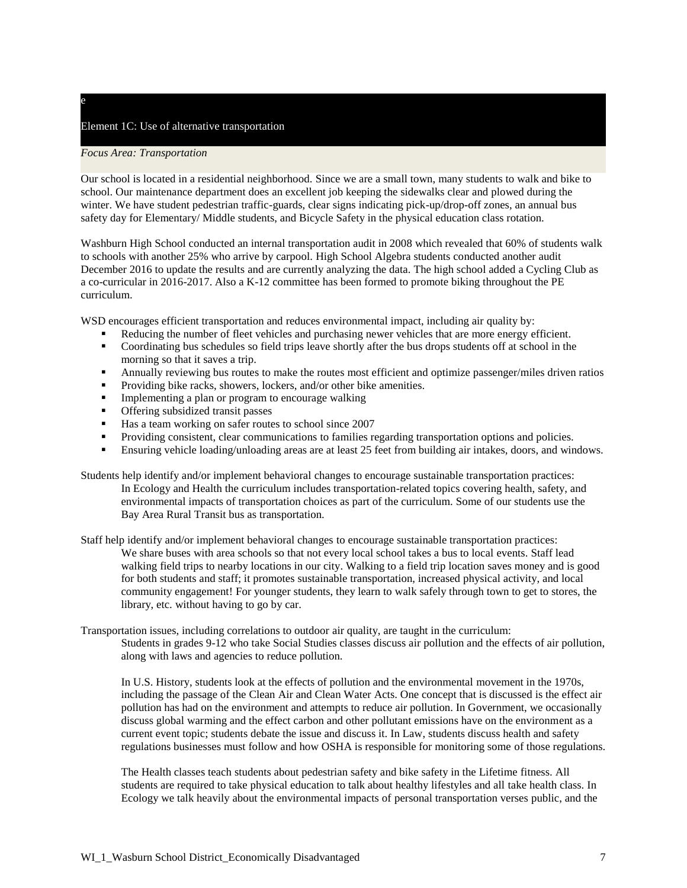## Element 1C: Use of alternative transportation

#### *Focus Area: Transportation*

e

Our school is located in a residential neighborhood. Since we are a small town, many students to walk and bike to school. Our maintenance department does an excellent job keeping the sidewalks clear and plowed during the winter. We have student pedestrian traffic-guards, clear signs indicating pick-up/drop-off zones, an annual bus safety day for Elementary/ Middle students, and Bicycle Safety in the physical education class rotation.

Washburn High School conducted an internal transportation audit in 2008 which revealed that 60% of students walk to schools with another 25% who arrive by carpool. High School Algebra students conducted another audit December 2016 to update the results and are currently analyzing the data. The high school added a Cycling Club as a co-curricular in 2016-2017. Also a K-12 committee has been formed to promote biking throughout the PE curriculum.

WSD encourages efficient transportation and reduces environmental impact, including air quality by:

- Reducing the number of fleet vehicles and purchasing newer vehicles that are more energy efficient.
- Coordinating bus schedules so field trips leave shortly after the bus drops students off at school in the morning so that it saves a trip.
- Annually reviewing bus routes to make the routes most efficient and optimize passenger/miles driven ratios
- Providing bike racks, showers, lockers, and/or other bike amenities.
- **Implementing a plan or program to encourage walking**
- **•** Offering subsidized transit passes
- Has a team working on safer routes to school since 2007
- Providing consistent, clear communications to families regarding transportation options and policies.
- Ensuring vehicle loading/unloading areas are at least 25 feet from building air intakes, doors, and windows.
- Students help identify and/or implement behavioral changes to encourage sustainable transportation practices: In Ecology and Health the curriculum includes transportation-related topics covering health, safety, and environmental impacts of transportation choices as part of the curriculum. Some of our students use the Bay Area Rural Transit bus as transportation.

Staff help identify and/or implement behavioral changes to encourage sustainable transportation practices: We share buses with area schools so that not every local school takes a bus to local events. Staff lead walking field trips to nearby locations in our city. Walking to a field trip location saves money and is good for both students and staff; it promotes sustainable transportation, increased physical activity, and local community engagement! For younger students, they learn to walk safely through town to get to stores, the library, etc. without having to go by car.

Transportation issues, including correlations to outdoor air quality, are taught in the curriculum:

Students in grades 9-12 who take Social Studies classes discuss air pollution and the effects of air pollution, along with laws and agencies to reduce pollution.

In U.S. History, students look at the effects of pollution and the environmental movement in the 1970s, including the passage of the Clean Air and Clean Water Acts. One concept that is discussed is the effect air pollution has had on the environment and attempts to reduce air pollution. In Government, we occasionally discuss global warming and the effect carbon and other pollutant emissions have on the environment as a current event topic; students debate the issue and discuss it. In Law, students discuss health and safety regulations businesses must follow and how OSHA is responsible for monitoring some of those regulations.

The Health classes teach students about pedestrian safety and bike safety in the Lifetime fitness. All students are required to take physical education to talk about healthy lifestyles and all take health class. In Ecology we talk heavily about the environmental impacts of personal transportation verses public, and the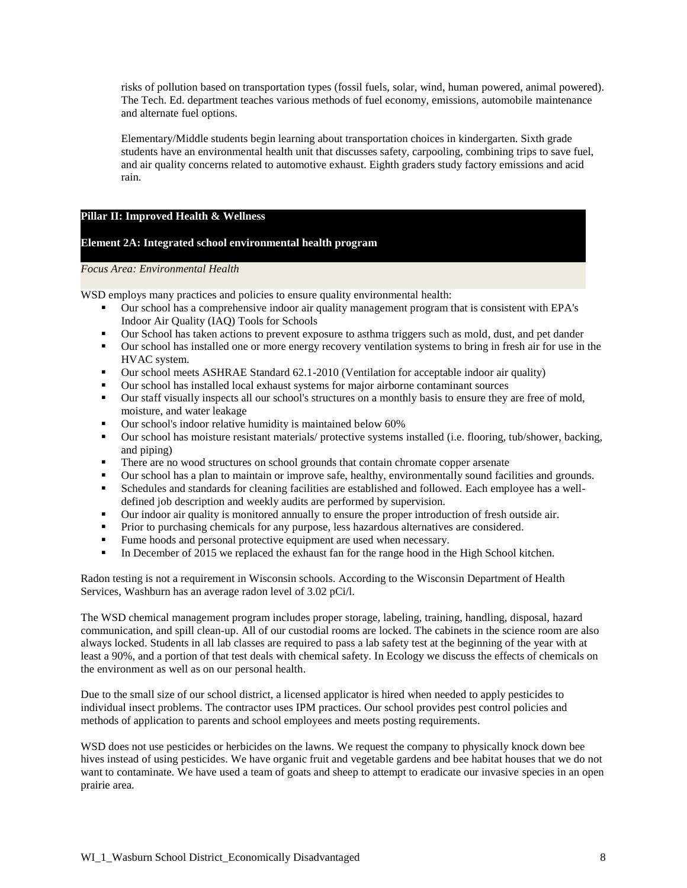risks of pollution based on transportation types (fossil fuels, solar, wind, human powered, animal powered). The Tech. Ed. department teaches various methods of fuel economy, emissions, automobile maintenance and alternate fuel options.

Elementary/Middle students begin learning about transportation choices in kindergarten. Sixth grade students have an environmental health unit that discusses safety, carpooling, combining trips to save fuel, and air quality concerns related to automotive exhaust. Eighth graders study factory emissions and acid rain.

### **Pillar II: Improved Health & Wellness**

### **Element 2A: Integrated school environmental health program**

#### *Focus Area: Environmental Health*

WSD employs many practices and policies to ensure quality environmental health:

- Our school has a comprehensive indoor air quality management program that is consistent with EPA's Indoor Air Quality (IAQ) Tools for Schools
- Our School has taken actions to prevent exposure to asthma triggers such as mold, dust, and pet dander
- Our school has installed one or more energy recovery ventilation systems to bring in fresh air for use in the HVAC system.
- Our school meets ASHRAE Standard 62.1-2010 (Ventilation for acceptable indoor air quality)
- Our school has installed local exhaust systems for major airborne contaminant sources
- Our staff visually inspects all our school's structures on a monthly basis to ensure they are free of mold, moisture, and water leakage
- **•** Our school's indoor relative humidity is maintained below 60%
- Our school has moisture resistant materials/ protective systems installed (i.e. flooring, tub/shower, backing, and piping)
- **There are no wood structures on school grounds that contain chromate copper arsenate**
- **•** Our school has a plan to maintain or improve safe, healthy, environmentally sound facilities and grounds.
- Schedules and standards for cleaning facilities are established and followed. Each employee has a welldefined job description and weekly audits are performed by supervision.
- Our indoor air quality is monitored annually to ensure the proper introduction of fresh outside air.
- Prior to purchasing chemicals for any purpose, less hazardous alternatives are considered.
- **Fume hoods and personal protective equipment are used when necessary.**
- In December of 2015 we replaced the exhaust fan for the range hood in the High School kitchen.

Radon testing is not a requirement in Wisconsin schools. According to the Wisconsin Department of Health Services, Washburn has an average radon level of 3.02 pCi/l.

The WSD chemical management program includes proper storage, labeling, training, handling, disposal, hazard communication, and spill clean-up. All of our custodial rooms are locked. The cabinets in the science room are also always locked. Students in all lab classes are required to pass a lab safety test at the beginning of the year with at least a 90%, and a portion of that test deals with chemical safety. In Ecology we discuss the effects of chemicals on the environment as well as on our personal health.

Due to the small size of our school district, a licensed applicator is hired when needed to apply pesticides to individual insect problems. The contractor uses IPM practices. Our school provides pest control policies and methods of application to parents and school employees and meets posting requirements.

WSD does not use pesticides or herbicides on the lawns. We request the company to physically knock down bee hives instead of using pesticides. We have organic fruit and vegetable gardens and bee habitat houses that we do not want to contaminate. We have used a team of goats and sheep to attempt to eradicate our invasive species in an open prairie area.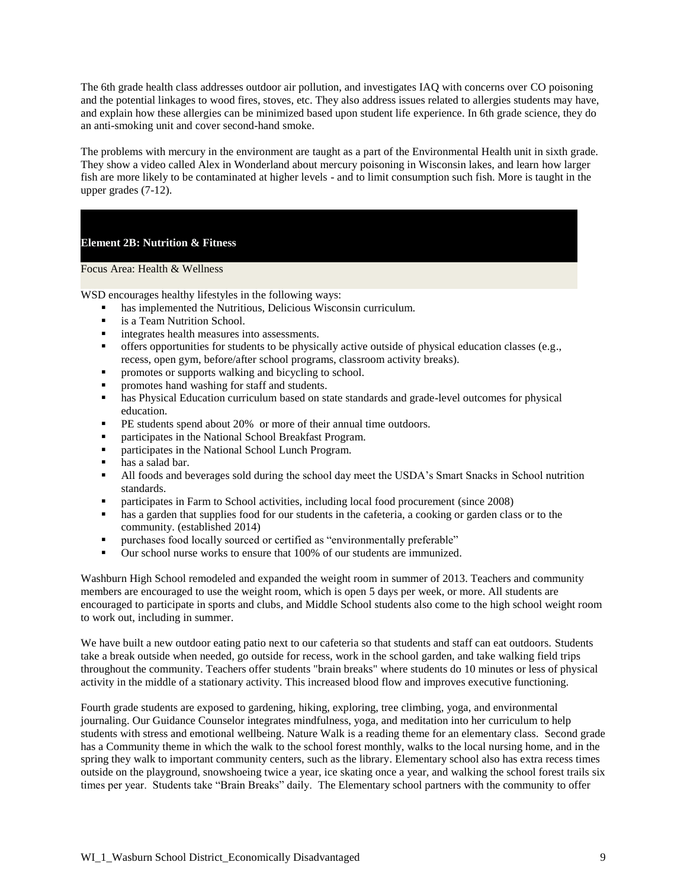The 6th grade health class addresses outdoor air pollution, and investigates IAQ with concerns over CO poisoning and the potential linkages to wood fires, stoves, etc. They also address issues related to allergies students may have, and explain how these allergies can be minimized based upon student life experience. In 6th grade science, they do an anti-smoking unit and cover second-hand smoke.

The problems with mercury in the environment are taught as a part of the Environmental Health unit in sixth grade. They show a video called Alex in Wonderland about mercury poisoning in Wisconsin lakes, and learn how larger fish are more likely to be contaminated at higher levels - and to limit consumption such fish. More is taught in the upper grades (7-12).

### **Element 2B: Nutrition & Fitness**

Focus Area: Health & Wellness

WSD encourages healthy lifestyles in the following ways:

- has implemented the Nutritious, Delicious Wisconsin curriculum.
- is a Team Nutrition School.
- **image integrates health measures into assessments.**
- offers opportunities for students to be physically active outside of physical education classes (e.g., recess, open gym, before/after school programs, classroom activity breaks).
- promotes or supports walking and bicycling to school.
- promotes hand washing for staff and students.
- **•** has Physical Education curriculum based on state standards and grade-level outcomes for physical education.
- **PE** students spend about 20% or more of their annual time outdoors.
- participates in the National School Breakfast Program.
- **•** participates in the National School Lunch Program.
- has a salad bar.
- In All foods and beverages sold during the school day meet the USDA's Smart Snacks in School nutrition standards.
- participates in Farm to School activities, including local food procurement (since 2008)
- **has a garden that supplies food for our students in the cafeteria, a cooking or garden class or to the** community. (established 2014)
- purchases food locally sourced or certified as "environmentally preferable"
- Our school nurse works to ensure that 100% of our students are immunized.

Washburn High School remodeled and expanded the weight room in summer of 2013. Teachers and community members are encouraged to use the weight room, which is open 5 days per week, or more. All students are encouraged to participate in sports and clubs, and Middle School students also come to the high school weight room to work out, including in summer.

We have built a new outdoor eating patio next to our cafeteria so that students and staff can eat outdoors. Students take a break outside when needed, go outside for recess, work in the school garden, and take walking field trips throughout the community. Teachers offer students "brain breaks" where students do 10 minutes or less of physical activity in the middle of a stationary activity. This increased blood flow and improves executive functioning.

Fourth grade students are exposed to gardening, hiking, exploring, tree climbing, yoga, and environmental journaling. Our Guidance Counselor integrates mindfulness, yoga, and meditation into her curriculum to help students with stress and emotional wellbeing. Nature Walk is a reading theme for an elementary class. Second grade has a Community theme in which the walk to the school forest monthly, walks to the local nursing home, and in the spring they walk to important community centers, such as the library. Elementary school also has extra recess times outside on the playground, snowshoeing twice a year, ice skating once a year, and walking the school forest trails six times per year. Students take "Brain Breaks" daily. The Elementary school partners with the community to offer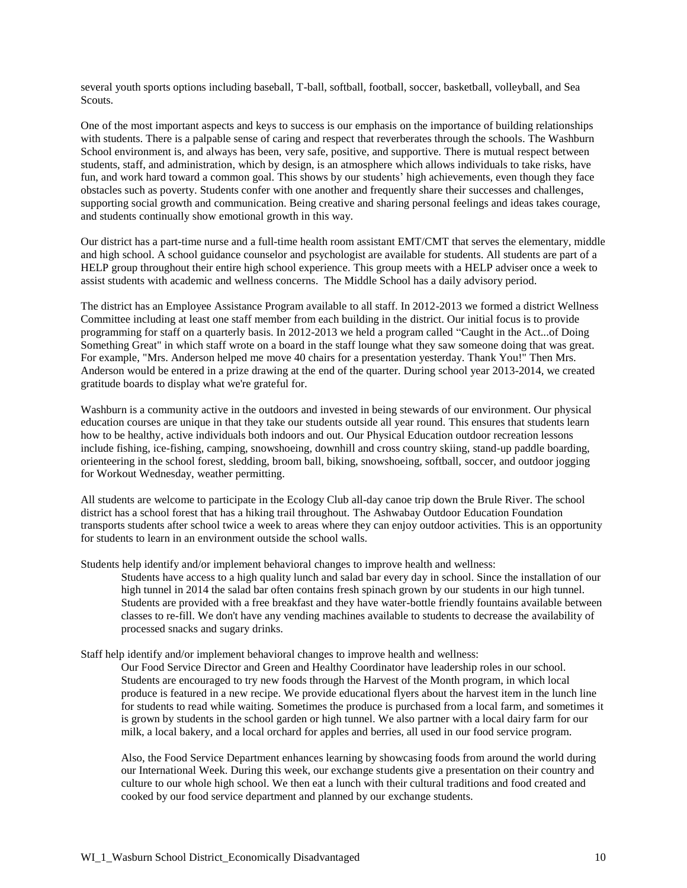several youth sports options including baseball, T-ball, softball, football, soccer, basketball, volleyball, and Sea Scouts.

One of the most important aspects and keys to success is our emphasis on the importance of building relationships with students. There is a palpable sense of caring and respect that reverberates through the schools. The Washburn School environment is, and always has been, very safe, positive, and supportive. There is mutual respect between students, staff, and administration, which by design, is an atmosphere which allows individuals to take risks, have fun, and work hard toward a common goal. This shows by our students' high achievements, even though they face obstacles such as poverty. Students confer with one another and frequently share their successes and challenges, supporting social growth and communication. Being creative and sharing personal feelings and ideas takes courage, and students continually show emotional growth in this way.

Our district has a part-time nurse and a full-time health room assistant EMT/CMT that serves the elementary, middle and high school. A school guidance counselor and psychologist are available for students. All students are part of a HELP group throughout their entire high school experience. This group meets with a HELP adviser once a week to assist students with academic and wellness concerns. The Middle School has a daily advisory period.

The district has an Employee Assistance Program available to all staff. In 2012-2013 we formed a district Wellness Committee including at least one staff member from each building in the district. Our initial focus is to provide programming for staff on a quarterly basis. In 2012-2013 we held a program called "Caught in the Act...of Doing Something Great" in which staff wrote on a board in the staff lounge what they saw someone doing that was great. For example, "Mrs. Anderson helped me move 40 chairs for a presentation yesterday. Thank You!" Then Mrs. Anderson would be entered in a prize drawing at the end of the quarter. During school year 2013-2014, we created gratitude boards to display what we're grateful for.

Washburn is a community active in the outdoors and invested in being stewards of our environment. Our physical education courses are unique in that they take our students outside all year round. This ensures that students learn how to be healthy, active individuals both indoors and out. Our Physical Education outdoor recreation lessons include fishing, ice-fishing, camping, snowshoeing, downhill and cross country skiing, stand-up paddle boarding, orienteering in the school forest, sledding, broom ball, biking, snowshoeing, softball, soccer, and outdoor jogging for Workout Wednesday, weather permitting.

All students are welcome to participate in the Ecology Club all-day canoe trip down the Brule River. The school district has a school forest that has a hiking trail throughout. The Ashwabay Outdoor Education Foundation transports students after school twice a week to areas where they can enjoy outdoor activities. This is an opportunity for students to learn in an environment outside the school walls.

Students help identify and/or implement behavioral changes to improve health and wellness:

Students have access to a high quality lunch and salad bar every day in school. Since the installation of our high tunnel in 2014 the salad bar often contains fresh spinach grown by our students in our high tunnel. Students are provided with a free breakfast and they have water-bottle friendly fountains available between classes to re-fill. We don't have any vending machines available to students to decrease the availability of processed snacks and sugary drinks.

Staff help identify and/or implement behavioral changes to improve health and wellness:

Our Food Service Director and Green and Healthy Coordinator have leadership roles in our school. Students are encouraged to try new foods through the Harvest of the Month program, in which local produce is featured in a new recipe. We provide educational flyers about the harvest item in the lunch line for students to read while waiting. Sometimes the produce is purchased from a local farm, and sometimes it is grown by students in the school garden or high tunnel. We also partner with a local dairy farm for our milk, a local bakery, and a local orchard for apples and berries, all used in our food service program.

Also, the Food Service Department enhances learning by showcasing foods from around the world during our International Week. During this week, our exchange students give a presentation on their country and culture to our whole high school. We then eat a lunch with their cultural traditions and food created and cooked by our food service department and planned by our exchange students.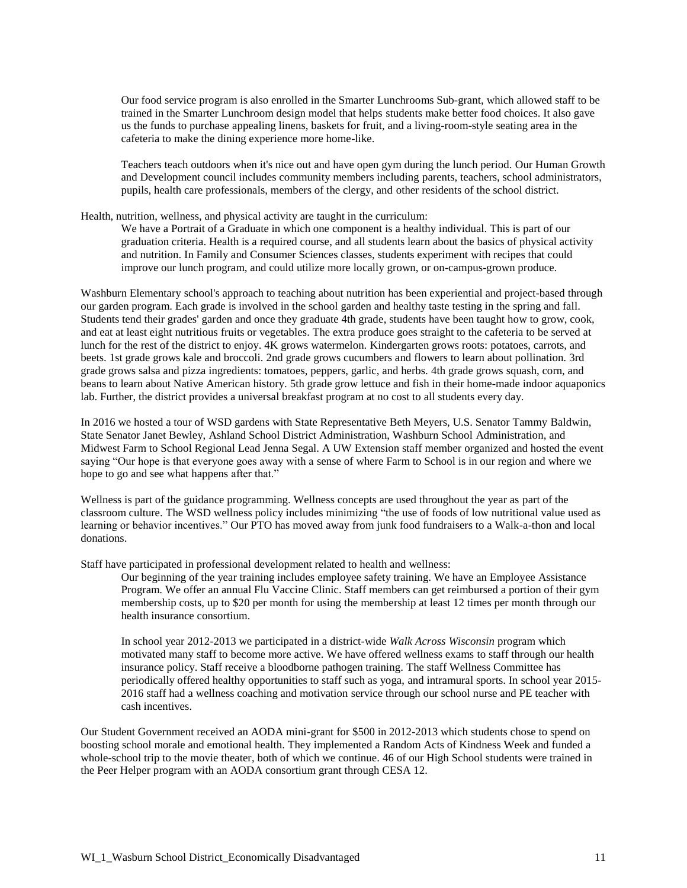Our food service program is also enrolled in the Smarter Lunchrooms Sub-grant, which allowed staff to be trained in the Smarter Lunchroom design model that helps students make better food choices. It also gave us the funds to purchase appealing linens, baskets for fruit, and a living-room-style seating area in the cafeteria to make the dining experience more home-like.

Teachers teach outdoors when it's nice out and have open gym during the lunch period. Our Human Growth and Development council includes community members including parents, teachers, school administrators, pupils, health care professionals, members of the clergy, and other residents of the school district.

Health, nutrition, wellness, and physical activity are taught in the curriculum:

We have a Portrait of a Graduate in which one component is a healthy individual. This is part of our graduation criteria. Health is a required course, and all students learn about the basics of physical activity and nutrition. In Family and Consumer Sciences classes, students experiment with recipes that could improve our lunch program, and could utilize more locally grown, or on-campus-grown produce.

Washburn Elementary school's approach to teaching about nutrition has been experiential and project-based through our garden program. Each grade is involved in the school garden and healthy taste testing in the spring and fall. Students tend their grades' garden and once they graduate 4th grade, students have been taught how to grow, cook, and eat at least eight nutritious fruits or vegetables. The extra produce goes straight to the cafeteria to be served at lunch for the rest of the district to enjoy. 4K grows watermelon. Kindergarten grows roots: potatoes, carrots, and beets. 1st grade grows kale and broccoli. 2nd grade grows cucumbers and flowers to learn about pollination. 3rd grade grows salsa and pizza ingredients: tomatoes, peppers, garlic, and herbs. 4th grade grows squash, corn, and beans to learn about Native American history. 5th grade grow lettuce and fish in their home-made indoor aquaponics lab. Further, the district provides a universal breakfast program at no cost to all students every day.

In 2016 we hosted a tour of WSD gardens with State Representative Beth Meyers, U.S. Senator Tammy Baldwin, State Senator Janet Bewley, Ashland School District Administration, Washburn School Administration, and Midwest Farm to School Regional Lead Jenna Segal. A UW Extension staff member organized and hosted the event saying "Our hope is that everyone goes away with a sense of where Farm to School is in our region and where we hope to go and see what happens after that."

Wellness is part of the guidance programming. Wellness concepts are used throughout the year as part of the classroom culture. The WSD wellness policy includes minimizing "the use of foods of low nutritional value used as learning or behavior incentives." Our PTO has moved away from junk food fundraisers to a Walk-a-thon and local donations.

Staff have participated in professional development related to health and wellness:

Our beginning of the year training includes employee safety training. We have an Employee Assistance Program. We offer an annual Flu Vaccine Clinic. Staff members can get reimbursed a portion of their gym membership costs, up to \$20 per month for using the membership at least 12 times per month through our health insurance consortium.

In school year 2012-2013 we participated in a district-wide *Walk Across Wisconsin* program which motivated many staff to become more active. We have offered wellness exams to staff through our health insurance policy. Staff receive a bloodborne pathogen training. The staff Wellness Committee has periodically offered healthy opportunities to staff such as yoga, and intramural sports. In school year 2015- 2016 staff had a wellness coaching and motivation service through our school nurse and PE teacher with cash incentives.

Our Student Government received an AODA mini-grant for \$500 in 2012-2013 which students chose to spend on boosting school morale and emotional health. They implemented a Random Acts of Kindness Week and funded a whole-school trip to the movie theater, both of which we continue. 46 of our High School students were trained in the Peer Helper program with an AODA consortium grant through CESA 12.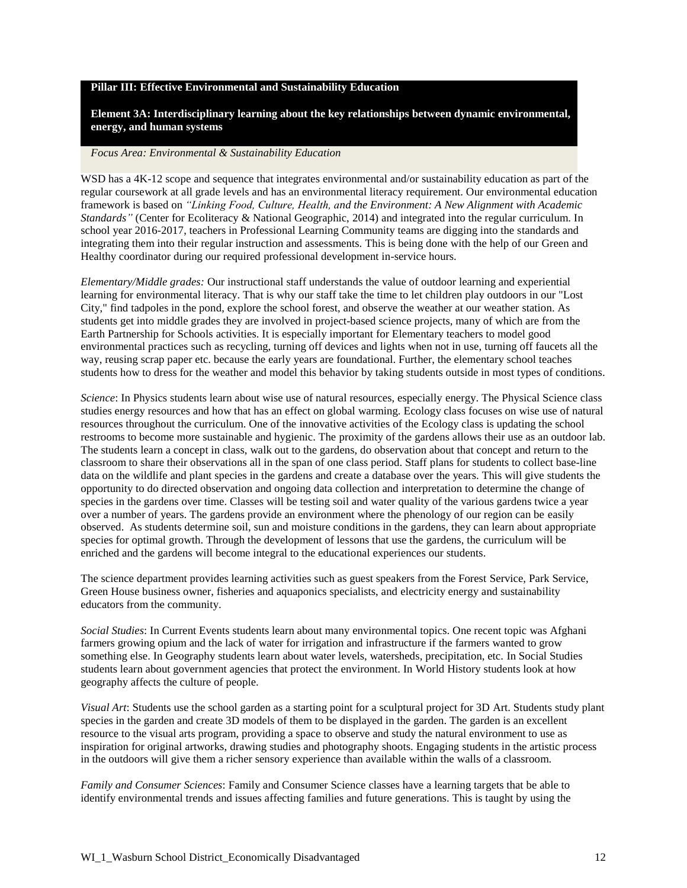#### **Pillar III: Effective Environmental and Sustainability Education**

### **Element 3A: Interdisciplinary learning about the key relationships between dynamic environmental, energy, and human systems**

#### *Focus Area: Environmental & Sustainability Education*

WSD has a 4K-12 scope and sequence that integrates environmental and/or sustainability education as part of the regular coursework at all grade levels and has an environmental literacy requirement. Our environmental education framework is based on *"Linking Food, Culture, Health, and the Environment: A New Alignment with Academic Standards"* (Center for Ecoliteracy & National Geographic, 2014) and integrated into the regular curriculum. In school year 2016-2017, teachers in Professional Learning Community teams are digging into the standards and integrating them into their regular instruction and assessments. This is being done with the help of our Green and Healthy coordinator during our required professional development in-service hours.

*Elementary/Middle grades:* Our instructional staff understands the value of outdoor learning and experiential learning for environmental literacy. That is why our staff take the time to let children play outdoors in our "Lost City," find tadpoles in the pond, explore the school forest, and observe the weather at our weather station. As students get into middle grades they are involved in project-based science projects, many of which are from the Earth Partnership for Schools activities. It is especially important for Elementary teachers to model good environmental practices such as recycling, turning off devices and lights when not in use, turning off faucets all the way, reusing scrap paper etc. because the early years are foundational. Further, the elementary school teaches students how to dress for the weather and model this behavior by taking students outside in most types of conditions.

*Science*: In Physics students learn about wise use of natural resources, especially energy. The Physical Science class studies energy resources and how that has an effect on global warming. Ecology class focuses on wise use of natural resources throughout the curriculum. One of the innovative activities of the Ecology class is updating the school restrooms to become more sustainable and hygienic. The proximity of the gardens allows their use as an outdoor lab. The students learn a concept in class, walk out to the gardens, do observation about that concept and return to the classroom to share their observations all in the span of one class period. Staff plans for students to collect base-line data on the wildlife and plant species in the gardens and create a database over the years. This will give students the opportunity to do directed observation and ongoing data collection and interpretation to determine the change of species in the gardens over time. Classes will be testing soil and water quality of the various gardens twice a year over a number of years. The gardens provide an environment where the phenology of our region can be easily observed. As students determine soil, sun and moisture conditions in the gardens, they can learn about appropriate species for optimal growth. Through the development of lessons that use the gardens, the curriculum will be enriched and the gardens will become integral to the educational experiences our students.

The science department provides learning activities such as guest speakers from the Forest Service, Park Service, Green House business owner, fisheries and aquaponics specialists, and electricity energy and sustainability educators from the community.

*Social Studies*: In Current Events students learn about many environmental topics. One recent topic was Afghani farmers growing opium and the lack of water for irrigation and infrastructure if the farmers wanted to grow something else. In Geography students learn about water levels, watersheds, precipitation, etc. In Social Studies students learn about government agencies that protect the environment. In World History students look at how geography affects the culture of people.

*Visual Art*: Students use the school garden as a starting point for a sculptural project for 3D Art. Students study plant species in the garden and create 3D models of them to be displayed in the garden. The garden is an excellent resource to the visual arts program, providing a space to observe and study the natural environment to use as inspiration for original artworks, drawing studies and photography shoots. Engaging students in the artistic process in the outdoors will give them a richer sensory experience than available within the walls of a classroom.

*Family and Consumer Sciences*: Family and Consumer Science classes have a learning targets that be able to identify environmental trends and issues affecting families and future generations. This is taught by using the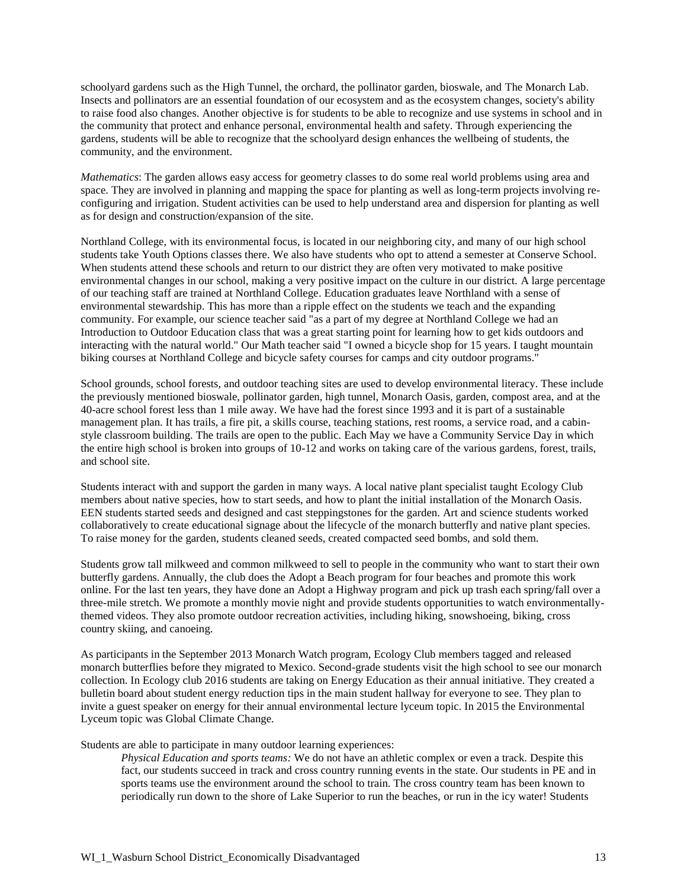schoolyard gardens such as the High Tunnel, the orchard, the pollinator garden, bioswale, and The Monarch Lab. Insects and pollinators are an essential foundation of our ecosystem and as the ecosystem changes, society's ability to raise food also changes. Another objective is for students to be able to recognize and use systems in school and in the community that protect and enhance personal, environmental health and safety. Through experiencing the gardens, students will be able to recognize that the schoolyard design enhances the wellbeing of students, the community, and the environment.

*Mathematics*: The garden allows easy access for geometry classes to do some real world problems using area and space. They are involved in planning and mapping the space for planting as well as long-term projects involving reconfiguring and irrigation. Student activities can be used to help understand area and dispersion for planting as well as for design and construction/expansion of the site.

Northland College, with its environmental focus, is located in our neighboring city, and many of our high school students take Youth Options classes there. We also have students who opt to attend a semester at Conserve School. When students attend these schools and return to our district they are often very motivated to make positive environmental changes in our school, making a very positive impact on the culture in our district. A large percentage of our teaching staff are trained at Northland College. Education graduates leave Northland with a sense of environmental stewardship. This has more than a ripple effect on the students we teach and the expanding community. For example, our science teacher said "as a part of my degree at Northland College we had an Introduction to Outdoor Education class that was a great starting point for learning how to get kids outdoors and interacting with the natural world." Our Math teacher said "I owned a bicycle shop for 15 years. I taught mountain biking courses at Northland College and bicycle safety courses for camps and city outdoor programs."

School grounds, school forests, and outdoor teaching sites are used to develop environmental literacy. These include the previously mentioned bioswale, pollinator garden, high tunnel, Monarch Oasis, garden, compost area, and at the 40-acre school forest less than 1 mile away. We have had the forest since 1993 and it is part of a sustainable management plan. It has trails, a fire pit, a skills course, teaching stations, rest rooms, a service road, and a cabinstyle classroom building. The trails are open to the public. Each May we have a Community Service Day in which the entire high school is broken into groups of 10-12 and works on taking care of the various gardens, forest, trails, and school site.

Students interact with and support the garden in many ways. A local native plant specialist taught Ecology Club members about native species, how to start seeds, and how to plant the initial installation of the Monarch Oasis. EEN students started seeds and designed and cast steppingstones for the garden. Art and science students worked collaboratively to create educational signage about the lifecycle of the monarch butterfly and native plant species. To raise money for the garden, students cleaned seeds, created compacted seed bombs, and sold them.

Students grow tall milkweed and common milkweed to sell to people in the community who want to start their own butterfly gardens. Annually, the club does the Adopt a Beach program for four beaches and promote this work online. For the last ten years, they have done an Adopt a Highway program and pick up trash each spring/fall over a three-mile stretch. We promote a monthly movie night and provide students opportunities to watch environmentallythemed videos. They also promote outdoor recreation activities, including hiking, snowshoeing, biking, cross country skiing, and canoeing.

As participants in the September 2013 Monarch Watch program, Ecology Club members tagged and released monarch butterflies before they migrated to Mexico. Second-grade students visit the high school to see our monarch collection. In Ecology club 2016 students are taking on Energy Education as their annual initiative. They created a bulletin board about student energy reduction tips in the main student hallway for everyone to see. They plan to invite a guest speaker on energy for their annual environmental lecture lyceum topic. In 2015 the Environmental Lyceum topic was Global Climate Change.

Students are able to participate in many outdoor learning experiences:

*Physical Education and sports teams:* We do not have an athletic complex or even a track. Despite this fact, our students succeed in track and cross country running events in the state. Our students in PE and in sports teams use the environment around the school to train. The cross country team has been known to periodically run down to the shore of Lake Superior to run the beaches, or run in the icy water! Students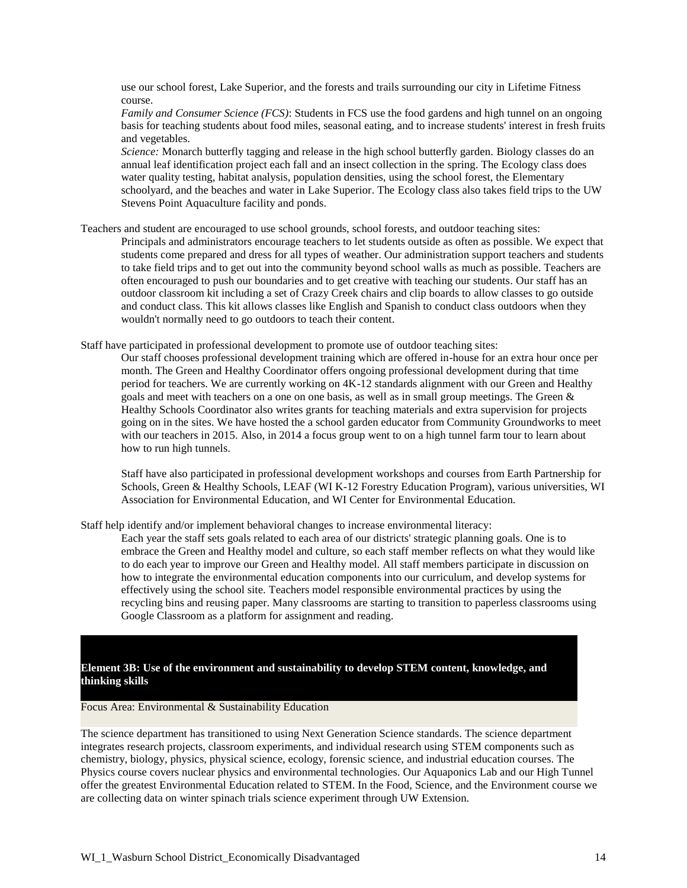use our school forest, Lake Superior, and the forests and trails surrounding our city in Lifetime Fitness course.

*Family and Consumer Science (FCS)*: Students in FCS use the food gardens and high tunnel on an ongoing basis for teaching students about food miles, seasonal eating, and to increase students' interest in fresh fruits and vegetables.

*Science:* Monarch butterfly tagging and release in the high school butterfly garden. Biology classes do an annual leaf identification project each fall and an insect collection in the spring. The Ecology class does water quality testing, habitat analysis, population densities, using the school forest, the Elementary schoolyard, and the beaches and water in Lake Superior. The Ecology class also takes field trips to the UW Stevens Point Aquaculture facility and ponds.

Teachers and student are encouraged to use school grounds, school forests, and outdoor teaching sites:

Principals and administrators encourage teachers to let students outside as often as possible. We expect that students come prepared and dress for all types of weather. Our administration support teachers and students to take field trips and to get out into the community beyond school walls as much as possible. Teachers are often encouraged to push our boundaries and to get creative with teaching our students. Our staff has an outdoor classroom kit including a set of Crazy Creek chairs and clip boards to allow classes to go outside and conduct class. This kit allows classes like English and Spanish to conduct class outdoors when they wouldn't normally need to go outdoors to teach their content.

Staff have participated in professional development to promote use of outdoor teaching sites:

Our staff chooses professional development training which are offered in-house for an extra hour once per month. The Green and Healthy Coordinator offers ongoing professional development during that time period for teachers. We are currently working on 4K-12 standards alignment with our Green and Healthy goals and meet with teachers on a one on one basis, as well as in small group meetings. The Green & Healthy Schools Coordinator also writes grants for teaching materials and extra supervision for projects going on in the sites. We have hosted the a school garden educator from Community Groundworks to meet with our teachers in 2015. Also, in 2014 a focus group went to on a high tunnel farm tour to learn about how to run high tunnels.

Staff have also participated in professional development workshops and courses from Earth Partnership for Schools, Green & Healthy Schools, LEAF (WI K-12 Forestry Education Program), various universities, WI Association for Environmental Education, and WI Center for Environmental Education.

Staff help identify and/or implement behavioral changes to increase environmental literacy:

Each year the staff sets goals related to each area of our districts' strategic planning goals. One is to embrace the Green and Healthy model and culture, so each staff member reflects on what they would like to do each year to improve our Green and Healthy model. All staff members participate in discussion on how to integrate the environmental education components into our curriculum, and develop systems for effectively using the school site. Teachers model responsible environmental practices by using the recycling bins and reusing paper. Many classrooms are starting to transition to paperless classrooms using Google Classroom as a platform for assignment and reading.

## **Element 3B: Use of the environment and sustainability to develop STEM content, knowledge, and thinking skills**

Focus Area: Environmental & Sustainability Education

The science department has transitioned to using Next Generation Science standards. The science department integrates research projects, classroom experiments, and individual research using STEM components such as chemistry, biology, physics, physical science, ecology, forensic science, and industrial education courses. The Physics course covers nuclear physics and environmental technologies. Our Aquaponics Lab and our High Tunnel offer the greatest Environmental Education related to STEM. In the Food, Science, and the Environment course we are collecting data on winter spinach trials science experiment through UW Extension.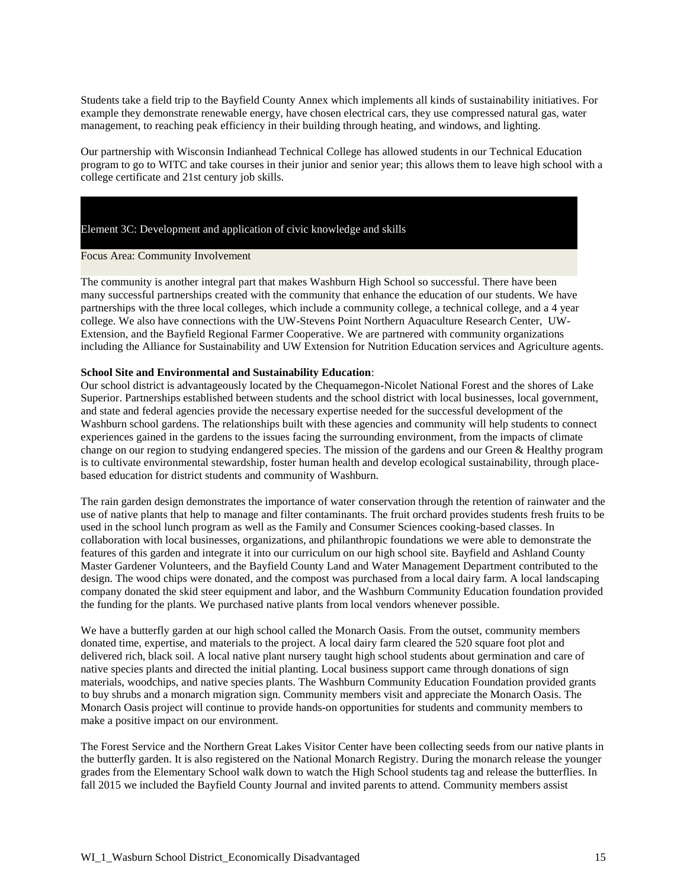Students take a field trip to the Bayfield County Annex which implements all kinds of sustainability initiatives. For example they demonstrate renewable energy, have chosen electrical cars, they use compressed natural gas, water management, to reaching peak efficiency in their building through heating, and windows, and lighting.

Our partnership with Wisconsin Indianhead Technical College has allowed students in our Technical Education program to go to WITC and take courses in their junior and senior year; this allows them to leave high school with a college certificate and 21st century job skills.

Element 3C: Development and application of civic knowledge and skills

Focus Area: Community Involvement

The community is another integral part that makes Washburn High School so successful. There have been many successful partnerships created with the community that enhance the education of our students. We have partnerships with the three local colleges, which include a community college, a technical college, and a 4 year college. We also have connections with the UW-Stevens Point Northern Aquaculture Research Center, UW-Extension, and the Bayfield Regional Farmer Cooperative. We are partnered with community organizations including the Alliance for Sustainability and UW Extension for Nutrition Education services and Agriculture agents.

#### **School Site and Environmental and Sustainability Education**:

Our school district is advantageously located by the Chequamegon-Nicolet National Forest and the shores of Lake Superior. Partnerships established between students and the school district with local businesses, local government, and state and federal agencies provide the necessary expertise needed for the successful development of the Washburn school gardens. The relationships built with these agencies and community will help students to connect experiences gained in the gardens to the issues facing the surrounding environment, from the impacts of climate change on our region to studying endangered species. The mission of the gardens and our Green & Healthy program is to cultivate environmental stewardship, foster human health and develop ecological sustainability, through placebased education for district students and community of Washburn.

The rain garden design demonstrates the importance of water conservation through the retention of rainwater and the use of native plants that help to manage and filter contaminants. The fruit orchard provides students fresh fruits to be used in the school lunch program as well as the Family and Consumer Sciences cooking-based classes. In collaboration with local businesses, organizations, and philanthropic foundations we were able to demonstrate the features of this garden and integrate it into our curriculum on our high school site. Bayfield and Ashland County Master Gardener Volunteers, and the Bayfield County Land and Water Management Department contributed to the design. The wood chips were donated, and the compost was purchased from a local dairy farm. A local landscaping company donated the skid steer equipment and labor, and the Washburn Community Education foundation provided the funding for the plants. We purchased native plants from local vendors whenever possible.

We have a butterfly garden at our high school called the Monarch Oasis. From the outset, community members donated time, expertise, and materials to the project. A local dairy farm cleared the 520 square foot plot and delivered rich, black soil. A local native plant nursery taught high school students about germination and care of native species plants and directed the initial planting. Local business support came through donations of sign materials, woodchips, and native species plants. The Washburn Community Education Foundation provided grants to buy shrubs and a monarch migration sign. Community members visit and appreciate the Monarch Oasis. The Monarch Oasis project will continue to provide hands-on opportunities for students and community members to make a positive impact on our environment.

The Forest Service and the Northern Great Lakes Visitor Center have been collecting seeds from our native plants in the butterfly garden. It is also registered on the National Monarch Registry. During the monarch release the younger grades from the Elementary School walk down to watch the High School students tag and release the butterflies. In fall 2015 we included the Bayfield County Journal and invited parents to attend. Community members assist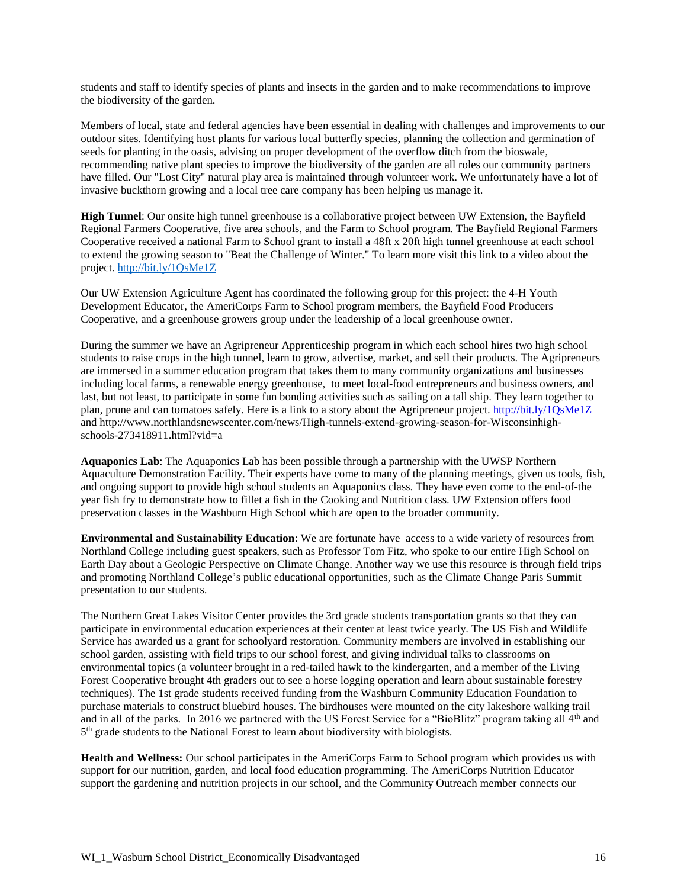students and staff to identify species of plants and insects in the garden and to make recommendations to improve the biodiversity of the garden.

Members of local, state and federal agencies have been essential in dealing with challenges and improvements to our outdoor sites. Identifying host plants for various local butterfly species, planning the collection and germination of seeds for planting in the oasis, advising on proper development of the overflow ditch from the bioswale, recommending native plant species to improve the biodiversity of the garden are all roles our community partners have filled. Our "Lost City" natural play area is maintained through volunteer work. We unfortunately have a lot of invasive buckthorn growing and a local tree care company has been helping us manage it.

**High Tunnel**: Our onsite high tunnel greenhouse is a collaborative project between UW Extension, the Bayfield Regional Farmers Cooperative, five area schools, and the Farm to School program. The Bayfield Regional Farmers Cooperative received a national Farm to School grant to install a 48ft x 20ft high tunnel greenhouse at each school to extend the growing season to "Beat the Challenge of Winter." To learn more visit this link to a video about the project. <http://bit.ly/1QsMe1Z>

Our UW Extension Agriculture Agent has coordinated the following group for this project: the 4-H Youth Development Educator, the AmeriCorps Farm to School program members, the Bayfield Food Producers Cooperative, and a greenhouse growers group under the leadership of a local greenhouse owner.

During the summer we have an Agripreneur Apprenticeship program in which each school hires two high school students to raise crops in the high tunnel, learn to grow, advertise, market, and sell their products. The Agripreneurs are immersed in a summer education program that takes them to many community organizations and businesses including local farms, a renewable energy greenhouse, to meet local-food entrepreneurs and business owners, and last, but not least, to participate in some fun bonding activities such as sailing on a tall ship. They learn together to plan, prune and can tomatoes safely. Here is a link to a story about the Agripreneur project. http://bit.ly/1QsMe1Z and http://www.northlandsnewscenter.com/news/High-tunnels-extend-growing-season-for-Wisconsinhighschools-273418911.html?vid=a

**Aquaponics Lab**: The Aquaponics Lab has been possible through a partnership with the UWSP Northern Aquaculture Demonstration Facility. Their experts have come to many of the planning meetings, given us tools, fish, and ongoing support to provide high school students an Aquaponics class. They have even come to the end-of-the year fish fry to demonstrate how to fillet a fish in the Cooking and Nutrition class. UW Extension offers food preservation classes in the Washburn High School which are open to the broader community.

**Environmental and Sustainability Education**: We are fortunate have access to a wide variety of resources from Northland College including guest speakers, such as Professor Tom Fitz, who spoke to our entire High School on Earth Day about a Geologic Perspective on Climate Change. Another way we use this resource is through field trips and promoting Northland College's public educational opportunities, such as the Climate Change Paris Summit presentation to our students.

The Northern Great Lakes Visitor Center provides the 3rd grade students transportation grants so that they can participate in environmental education experiences at their center at least twice yearly. The US Fish and Wildlife Service has awarded us a grant for schoolyard restoration. Community members are involved in establishing our school garden, assisting with field trips to our school forest, and giving individual talks to classrooms on environmental topics (a volunteer brought in a red-tailed hawk to the kindergarten, and a member of the Living Forest Cooperative brought 4th graders out to see a horse logging operation and learn about sustainable forestry techniques). The 1st grade students received funding from the Washburn Community Education Foundation to purchase materials to construct bluebird houses. The birdhouses were mounted on the city lakeshore walking trail and in all of the parks. In 2016 we partnered with the US Forest Service for a "BioBlitz" program taking all  $4<sup>th</sup>$  and 5<sup>th</sup> grade students to the National Forest to learn about biodiversity with biologists.

**Health and Wellness:** Our school participates in the AmeriCorps Farm to School program which provides us with support for our nutrition, garden, and local food education programming. The AmeriCorps Nutrition Educator support the gardening and nutrition projects in our school, and the Community Outreach member connects our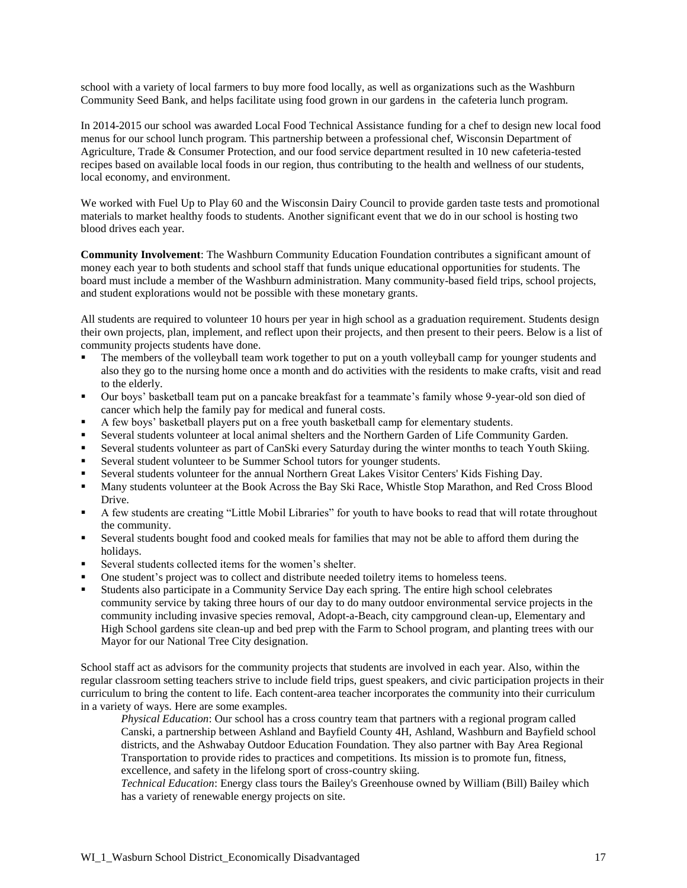school with a variety of local farmers to buy more food locally, as well as organizations such as the Washburn Community Seed Bank, and helps facilitate using food grown in our gardens in the cafeteria lunch program.

In 2014-2015 our school was awarded Local Food Technical Assistance funding for a chef to design new local food menus for our school lunch program. This partnership between a professional chef, Wisconsin Department of Agriculture, Trade & Consumer Protection, and our food service department resulted in 10 new cafeteria-tested recipes based on available local foods in our region, thus contributing to the health and wellness of our students, local economy, and environment.

We worked with Fuel Up to Play 60 and the Wisconsin Dairy Council to provide garden taste tests and promotional materials to market healthy foods to students. Another significant event that we do in our school is hosting two blood drives each year.

**Community Involvement**: The Washburn Community Education Foundation contributes a significant amount of money each year to both students and school staff that funds unique educational opportunities for students. The board must include a member of the Washburn administration. Many community-based field trips, school projects, and student explorations would not be possible with these monetary grants.

All students are required to volunteer 10 hours per year in high school as a graduation requirement. Students design their own projects, plan, implement, and reflect upon their projects, and then present to their peers. Below is a list of community projects students have done.

- The members of the volleyball team work together to put on a youth volleyball camp for younger students and also they go to the nursing home once a month and do activities with the residents to make crafts, visit and read to the elderly.
- Our boys' basketball team put on a pancake breakfast for a teammate's family whose 9-year-old son died of cancer which help the family pay for medical and funeral costs.
- A few boys' basketball players put on a free youth basketball camp for elementary students.
- Several students volunteer at local animal shelters and the Northern Garden of Life Community Garden.
- Several students volunteer as part of CanSki every Saturday during the winter months to teach Youth Skiing.
- Several student volunteer to be Summer School tutors for younger students.
- Several students volunteer for the annual Northern Great Lakes Visitor Centers' Kids Fishing Day.
- Many students volunteer at the Book Across the Bay Ski Race, Whistle Stop Marathon, and Red Cross Blood Drive.
- A few students are creating "Little Mobil Libraries" for youth to have books to read that will rotate throughout the community.
- Several students bought food and cooked meals for families that may not be able to afford them during the holidays.
- Several students collected items for the women's shelter.
- One student's project was to collect and distribute needed toiletry items to homeless teens.
- Students also participate in a Community Service Day each spring. The entire high school celebrates community service by taking three hours of our day to do many outdoor environmental service projects in the community including invasive species removal, Adopt-a-Beach, city campground clean-up, Elementary and High School gardens site clean-up and bed prep with the Farm to School program, and planting trees with our Mayor for our National Tree City designation.

School staff act as advisors for the community projects that students are involved in each year. Also, within the regular classroom setting teachers strive to include field trips, guest speakers, and civic participation projects in their curriculum to bring the content to life. Each content-area teacher incorporates the community into their curriculum in a variety of ways. Here are some examples.

*Physical Education*: Our school has a cross country team that partners with a regional program called Canski, a partnership between Ashland and Bayfield County 4H, Ashland, Washburn and Bayfield school districts, and the Ashwabay Outdoor Education Foundation. They also partner with Bay Area Regional Transportation to provide rides to practices and competitions. Its mission is to promote fun, fitness, excellence, and safety in the lifelong sport of cross-country skiing.

*Technical Education*: Energy class tours the Bailey's Greenhouse owned by William (Bill) Bailey which has a variety of renewable energy projects on site.